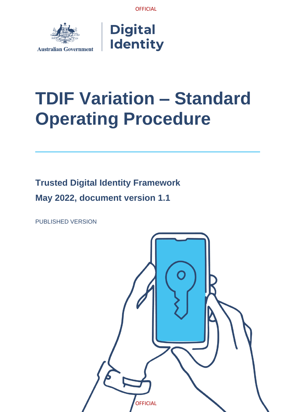



# **TDIF Variation – Standard Operating Procedure**

**Trusted Digital Identity Framework May 2022, document version 1.1**

PUBLISHED VERSION

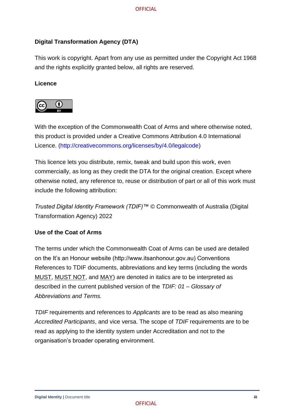#### **Digital Transformation Agency (DTA)**

This work is copyright. Apart from any use as permitted under the Copyright Act 1968 and the rights explicitly granted below, all rights are reserved.

#### **Licence**



With the exception of the Commonwealth Coat of Arms and where otherwise noted, this product is provided under a Creative Commons Attribution 4.0 International Licence. [\(http://creativecommons.org/licenses/by/4.0/legalcode\)](http://creativecommons.org/licenses/by/4.0/legalcode)

This licence lets you distribute, remix, tweak and build upon this work, even commercially, as long as they credit the DTA for the original creation. Except where otherwise noted, any reference to, reuse or distribution of part or all of this work must include the following attribution:

*Trusted Digital Identity Framework (TDIF)™* © Commonwealth of Australia (Digital Transformation Agency) 2022

#### **Use of the Coat of Arms**

The terms under which the Commonwealth Coat of Arms can be used are detailed on the It's an Honour website (http://www.itsanhonour.gov.au) Conventions References to TDIF documents, abbreviations and key terms (including the words MUST, MUST NOT, and MAY) are denoted in italics are to be interpreted as described in the current published version of the *TDIF: 01 – Glossary of Abbreviations and Terms.*

*TDIF* requirements and references to *Applicants* are to be read as also meaning *Accredited Participants*, and vice versa. The scope of *TDIF* requirements are to be read as applying to the identity system under Accreditation and not to the organisation's broader operating environment.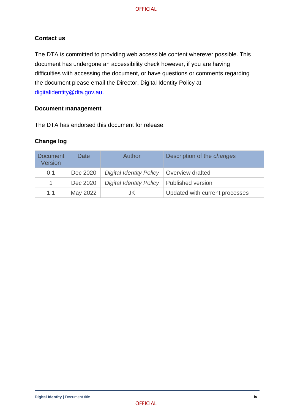#### **Contact us**

The DTA is committed to providing web accessible content wherever possible. This document has undergone an accessibility check however, if you are having difficulties with accessing the document, or have questions or comments regarding the document please email the Director, Digital Identity Policy at [digitalidentity@dta.gov.au.](mailto:digitalidentity@dta.gov.au)

#### **Document management**

The DTA has endorsed this document for release.

#### **Change log**

| <b>Document</b><br><b>Version</b> | Date     | Author                         | Description of the <i>changes</i> |
|-----------------------------------|----------|--------------------------------|-----------------------------------|
| 0.1                               | Dec 2020 | <b>Digital Identity Policy</b> | <b>Overview drafted</b>           |
| $\mathbf{1}$                      | Dec 2020 | <b>Digital Identity Policy</b> | Published version                 |
| 1.1                               | May 2022 | JK                             | Updated with current processes    |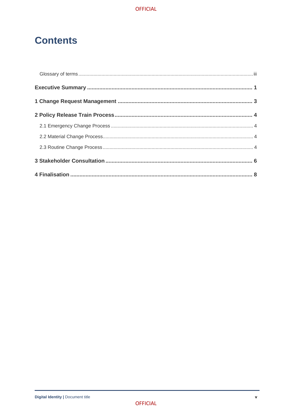### **Contents**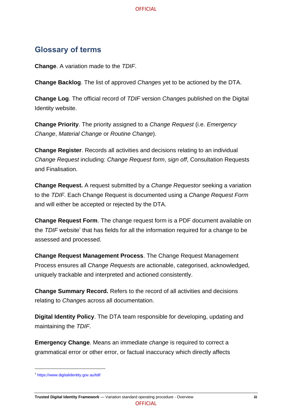### <span id="page-4-0"></span>**Glossary of terms**

**Change**. A variation made to the *TDIF*.

**Change Backlog**. The list of approved *Change*s yet to be actioned by the DTA.

**Change Log**. The official record of *TDIF* version *Change*s published on the Digital Identity website.

**Change Priority**. The priority assigned to a *Change Request* (i.e. *Emergency Change*, *Material Change* or *Routine Change*).

**Change Register**. Records all activities and decisions relating to an individual *Change Request* including: *Change Request form*, *sign off*, Consultation Requests and Finalisation.

**Change Request.** A request submitted by a *Change Requestor* seeking a variation to the *TDIF*. Each Change Request is documented using a *Change Request Form* and will either be accepted or rejected by the DTA.

**Change Request Form**. The change request form is a PDF document available on the TDIF website<sup>1</sup> that has fields for all the information required for a change to be assessed and processed.

**Change Request Management Process**. The Change Request Management Process ensures all *Change Request*s are actionable, categorised, acknowledged, uniquely trackable and interpreted and actioned consistently.

**Change Summary Record.** Refers to the record of all activities and decisions relating to *Change*s across all documentation.

**Digital Identity Policy**. The DTA team responsible for developing, updating and maintaining the *TDIF*.

**Emergency Change**. Means an immediate *change* is required to correct a grammatical error or other error, or factual inaccuracy which directly affects

<sup>1</sup> <https://www.digitalidentity.gov.au/tdif>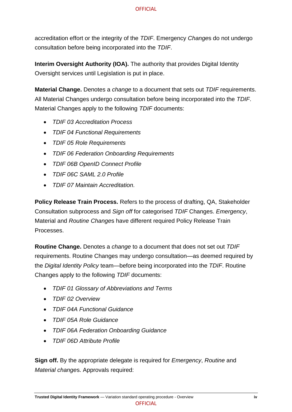accreditation effort or the integrity of the *TDIF*. Emergency *Change*s do not undergo consultation before being incorporated into the *TDIF*.

**Interim Oversight Authority (IOA).** The authority that provides Digital Identity Oversight services until Legislation is put in place.

**Material Change.** Denotes a *change* to a document that sets out *TDIF* requirements. All Material Changes undergo consultation before being incorporated into the *TDIF*. Material Changes apply to the following *TDIF* documents:

- *TDIF 03 Accreditation Process*
- *TDIF 04 Functional Requirements*
- *TDIF 05 Role Requirements*
- *TDIF 06 Federation Onboarding Requirements*
- *TDIF 06B OpenID Connect Profile*
- *TDIF 06C SAML 2.0 Profile*
- *TDIF 07 Maintain Accreditation.*

**Policy Release Train Process.** Refers to the process of drafting, QA, Stakeholder Consultation subprocess and *Sign off* for categorised *TDIF* Changes. *Emergency*, Material and *Routine Change*s have different required Policy Release Train Processes.

**Routine Change.** Denotes a *change* to a document that does not set out *TDIF* requirements. Routine Changes may undergo consultation—as deemed required by the *Digital Identity Policy* team—before being incorporated into the *TDIF*. Routine Changes apply to the following *TDIF* documents:

- *TDIF 01 Glossary of Abbreviations and Terms*
- *TDIF 02 Overview*
- *TDIF 04A Functional Guidance*
- *TDIF 05A Role Guidance*
- *TDIF 06A Federation Onboarding Guidance*
- *TDIF 06D Attribute Profile*

**Sign off.** By the appropriate delegate is required for *Emergency*, *Routine* and *Material change*s. Approvals required: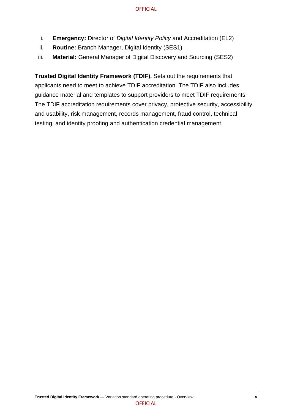- i. **Emergency:** Director of *Digital Identity Policy* and Accreditation (EL2)
- ii. **Routine:** Branch Manager, Digital Identity (SES1)
- iii. **Material:** General Manager of Digital Discovery and Sourcing (SES2)

**Trusted Digital Identity Framework (TDIF).** Sets out the requirements that applicants need to meet to achieve TDIF accreditation. The TDIF also includes guidance material and templates to support providers to meet TDIF requirements. The TDIF accreditation requirements cover privacy, protective security, accessibility and usability, risk management, records management, fraud control, technical testing, and identity proofing and authentication credential management.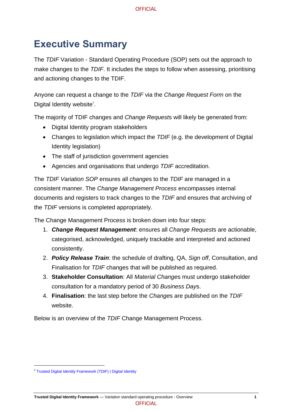## <span id="page-7-0"></span>**Executive Summary**

The *TDIF* Variation - Standard Operating Procedure (SOP) sets out the approach to make changes to the *TDIF*. It includes the steps to follow when assessing, prioritising and actioning changes to the TDIF.

Anyone can request a change to the *TDIF* via the *Change Request Form* on the Digital Identity website<sup>2</sup>.

The majority of TDIF changes and *Change Request*s will likely be generated from:

- Digital Identity program stakeholders
- Changes to legislation which impact the *TDIF* (e.g. the development of Digital Identity legislation)
- The staff of jurisdiction government agencies
- Agencies and organisations that undergo *TDIF* accreditation.

The *TDIF Variation SOP* ensures all *change*s to the *TDIF* are managed in a consistent manner. The *Change Management Process* encompasses internal documents and registers to track changes to the *TDIF* and ensures that archiving of the *TDIF* versions is completed appropriately.

The Change Management Process is broken down into four steps:

- 1. *Change Request Management*: ensures all *Change Request*s are actionable, categorised, acknowledged, uniquely trackable and interpreted and actioned consistently.
- 2. *Policy Release Train*: the schedule of drafting, QA, *Sign off*, Consultation, and Finalisation for *TDIF* changes that will be published as required.
- 3. **Stakeholder Consultation**: All *Material Change*s must undergo stakeholder consultation for a mandatory period of 30 *Business Day*s.
- 4. **Finalisation**: the last step before the *Change*s are published on the *TDIF* website.

Below is an overview of the *TDIF* Change Management Process.

<sup>&</sup>lt;sup>2</sup> [Trusted Digital Identity Framework \(TDIF\) | Digital Identity](https://www.digitalidentity.gov.au/tdif)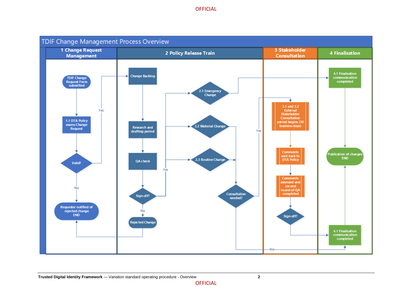

**OFFICIAL**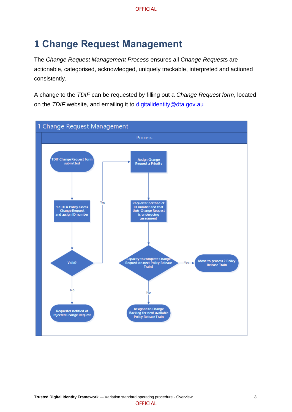# <span id="page-9-0"></span>**1 Change Request Management**

The *Change Request Management Process* ensures all *Change Request*s are actionable, categorised, acknowledged, uniquely trackable, interpreted and actioned consistently.

A change to the *TDIF* can be requested by filling out a *Change Request form*, located on the *TDIF* website, and emailing it to [digitalidentity@dta.gov.au](mailto:digitalidentity@dta.gov.au)

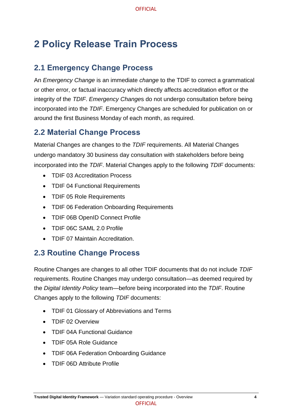# <span id="page-10-0"></span>**2 Policy Release Train Process**

### <span id="page-10-1"></span>**2.1 Emergency Change Process**

An *Emergency Change* is an immediate *change* to the TDIF to correct a grammatical or other error, or factual inaccuracy which directly affects accreditation effort or the integrity of the *TDIF*. *Emergency Change*s do not undergo consultation before being incorporated into the *TDIF*. Emergency Changes are scheduled for publication on or around the first Business Monday of each month, as required.

### <span id="page-10-2"></span>**2.2 Material Change Process**

Material Changes are changes to the *TDIF* requirements. All Material Changes undergo mandatory 30 business day consultation with stakeholders before being incorporated into the *TDIF*. Material Changes apply to the following *TDIF* documents:

- TDIF 03 Accreditation Process
- TDIF 04 Functional Requirements
- TDIF 05 Role Requirements
- TDIF 06 Federation Onboarding Requirements
- TDIF 06B OpenID Connect Profile
- TDIF 06C SAML 2.0 Profile
- TDIF 07 Maintain Accreditation.

### <span id="page-10-3"></span>**2.3 Routine Change Process**

Routine Changes are changes to all other TDIF documents that do not include *TDIF* requirements. Routine Changes may undergo consultation—as deemed required by the *Digital Identity Policy* team—before being incorporated into the *TDIF*. Routine Changes apply to the following *TDIF* documents:

- TDIF 01 Glossary of Abbreviations and Terms
- TDIF 02 Overview
- TDIF 04A Functional Guidance
- TDIF 05A Role Guidance
- TDIF 06A Federation Onboarding Guidance
- TDIF 06D Attribute Profile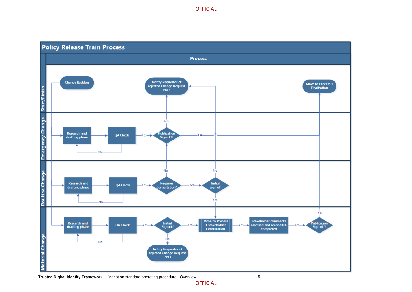

#### **Trusted Digital Identity Framework** — Variation standard operating procedure - Overview **5**

**OFFICIAL**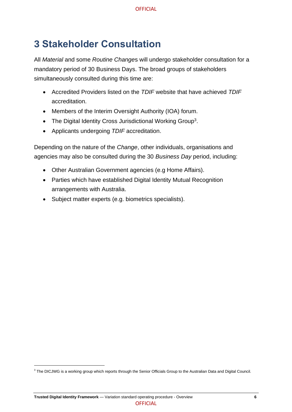## <span id="page-12-0"></span>**3 Stakeholder Consultation**

All *Material* and some *Routine Change*s will undergo stakeholder consultation for a mandatory period of 30 Business Days. The broad groups of stakeholders simultaneously consulted during this time are:

- Accredited Providers listed on the *TDIF* website that have achieved *TDIF* accreditation.
- Members of the Interim Oversight Authority (IOA) forum.
- The Digital Identity Cross Jurisdictional Working Group<sup>3</sup>.
- Applicants undergoing *TDIF* accreditation.

Depending on the nature of the *Change*, other individuals, organisations and agencies may also be consulted during the 30 *Business Day* period, including:

- Other Australian Government agencies (e.g Home Affairs).
- Parties which have established Digital Identity Mutual Recognition arrangements with Australia.
- Subject matter experts (e.g. biometrics specialists).

 $^3$  The DICJWG is a working group which reports through the Senior Officials Group to the Australian Data and Digital Council.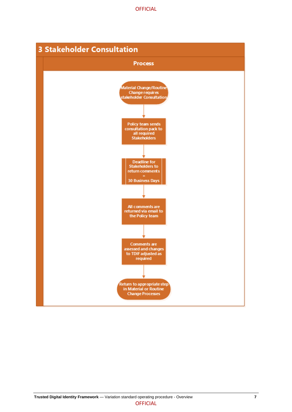